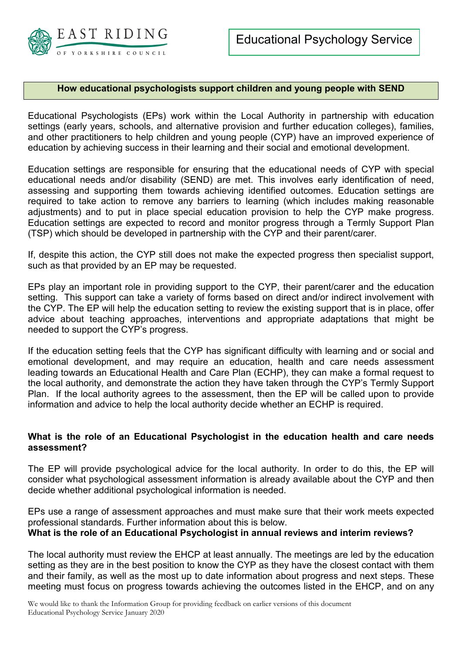

### **How educational psychologists support children and young people with SEND**

Educational Psychologists (EPs) work within the Local Authority in partnership with education settings (early years, schools, and alternative provision and further education colleges), families, and other practitioners to help children and young people (CYP) have an improved experience of education by achieving success in their learning and their social and emotional development.

Education settings are responsible for ensuring that the educational needs of CYP with special educational needs and/or disability (SEND) are met. This involves early identification of need, assessing and supporting them towards achieving identified outcomes. Education settings are required to take action to remove any barriers to learning (which includes making reasonable adjustments) and to put in place special education provision to help the CYP make progress. Education settings are expected to record and monitor progress through a Termly Support Plan (TSP) which should be developed in partnership with the CYP and their parent/carer.

If, despite this action, the CYP still does not make the expected progress then specialist support, such as that provided by an EP may be requested.

EPs play an important role in providing support to the CYP, their parent/carer and the education setting. This support can take a variety of forms based on direct and/or indirect involvement with the CYP. The EP will help the education setting to review the existing support that is in place, offer advice about teaching approaches, interventions and appropriate adaptations that might be needed to support the CYP's progress.

If the education setting feels that the CYP has significant difficulty with learning and or social and emotional development, and may require an education, health and care needs assessment leading towards an Educational Health and Care Plan (ECHP), they can make a formal request to the local authority, and demonstrate the action they have taken through the CYP's Termly Support Plan. If the local authority agrees to the assessment, then the EP will be called upon to provide information and advice to help the local authority decide whether an ECHP is required.

### **What is the role of an Educational Psychologist in the education health and care needs assessment?**

The EP will provide psychological advice for the local authority. In order to do this, the EP will consider what psychological assessment information is already available about the CYP and then decide whether additional psychological information is needed.

EPs use a range of assessment approaches and must make sure that their work meets expected professional standards. Further information about this is below. **What is the role of an Educational Psychologist in annual reviews and interim reviews?** 

The local authority must review the EHCP at least annually. The meetings are led by the education setting as they are in the best position to know the CYP as they have the closest contact with them and their family, as well as the most up to date information about progress and next steps. These meeting must focus on progress towards achieving the outcomes listed in the EHCP, and on any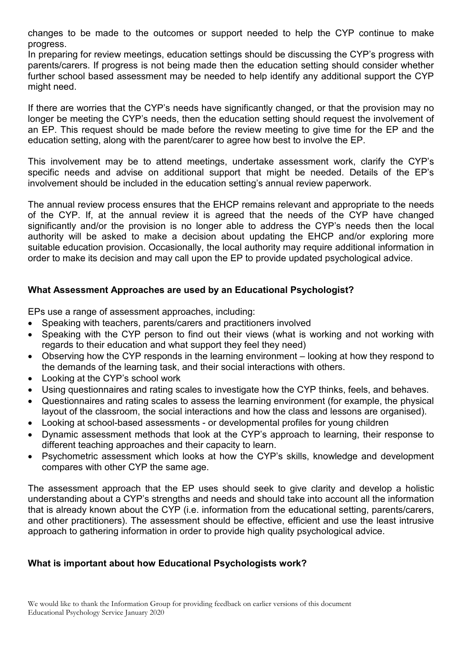changes to be made to the outcomes or support needed to help the CYP continue to make progress.

In preparing for review meetings, education settings should be discussing the CYP's progress with parents/carers. If progress is not being made then the education setting should consider whether further school based assessment may be needed to help identify any additional support the CYP might need.

If there are worries that the CYP's needs have significantly changed, or that the provision may no longer be meeting the CYP's needs, then the education setting should request the involvement of an EP. This request should be made before the review meeting to give time for the EP and the education setting, along with the parent/carer to agree how best to involve the EP.

This involvement may be to attend meetings, undertake assessment work, clarify the CYP's specific needs and advise on additional support that might be needed. Details of the EP's involvement should be included in the education setting's annual review paperwork.

The annual review process ensures that the EHCP remains relevant and appropriate to the needs of the CYP. If, at the annual review it is agreed that the needs of the CYP have changed significantly and/or the provision is no longer able to address the CYP's needs then the local authority will be asked to make a decision about updating the EHCP and/or exploring more suitable education provision. Occasionally, the local authority may require additional information in order to make its decision and may call upon the EP to provide updated psychological advice.

# **What Assessment Approaches are used by an Educational Psychologist?**

EPs use a range of assessment approaches, including:

- Speaking with teachers, parents/carers and practitioners involved
- Speaking with the CYP person to find out their views (what is working and not working with regards to their education and what support they feel they need)
- Observing how the CYP responds in the learning environment looking at how they respond to the demands of the learning task, and their social interactions with others.
- Looking at the CYP's school work
- Using questionnaires and rating scales to investigate how the CYP thinks, feels, and behaves.
- Questionnaires and rating scales to assess the learning environment (for example, the physical layout of the classroom, the social interactions and how the class and lessons are organised).
- Looking at school-based assessments or developmental profiles for young children
- Dynamic assessment methods that look at the CYP's approach to learning, their response to different teaching approaches and their capacity to learn.
- Psychometric assessment which looks at how the CYP's skills, knowledge and development compares with other CYP the same age.

The assessment approach that the EP uses should seek to give clarity and develop a holistic understanding about a CYP's strengths and needs and should take into account all the information that is already known about the CYP (i.e. information from the educational setting, parents/carers, and other practitioners). The assessment should be effective, efficient and use the least intrusive approach to gathering information in order to provide high quality psychological advice.

# **What is important about how Educational Psychologists work?**